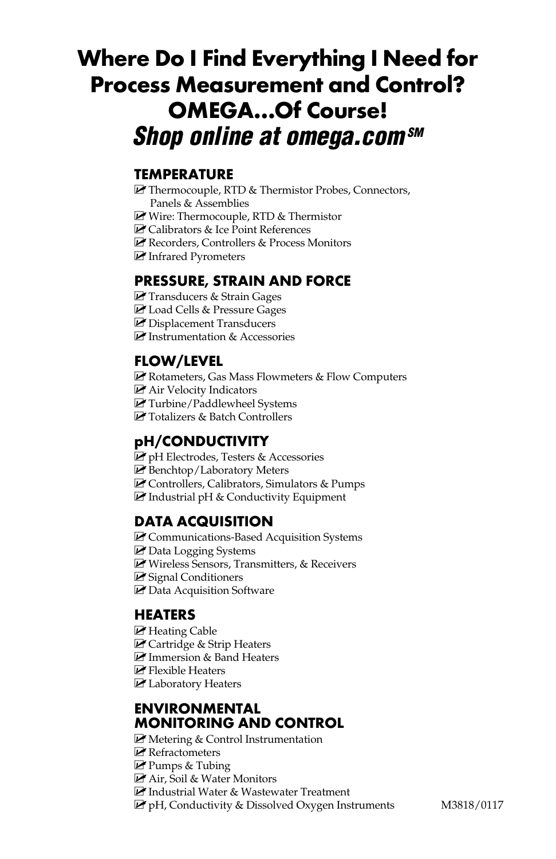# **Where Do I Find Everything I Need for Process Measurement and Control? OMEGA…Of Course!** *Shop online at omega.com SM*

#### **TEMPERATURE**

- $\blacktriangleright$  Thermocouple, RTD & Thermistor Probes, Connectors, Panels & Assemblies
- MU Wire: Thermocouple, RTD & Thermistor
- **M** Calibrators & Ice Point References
- MU Recorders, Controllers & Process Monitors
- MU Infrared Pyrometers

#### **PRESSURE, STRAIN AND FORCE**

- **M** Transducers & Strain Gages
- M Load Cells & Pressure Gages
- **M** Displacement Transducers
- $\triangleright$  Instrumentation & Accessories

#### **FLOW/LEVEL**

- $\blacktriangleright$  Rotameters, Gas Mass Flowmeters & Flow Computers
- **ME** Air Velocity Indicators
- **M**Turbine/Paddlewheel Systems
- **M** Totalizers & Batch Controllers

#### **pH/CONDUCTIVITY**

- MU pH Electrodes, Testers & Accessories
- MU Benchtop/Laboratory Meters
- MU Controllers, Calibrators, Simulators & Pumps
- $\blacksquare$  Industrial pH & Conductivity Equipment

#### **DATA ACQUISITION**

- ME Communications-Based Acquisition Systems
- **M** Data Logging Systems
- Wireless Sensors, Transmitters, & Receivers
- $\triangleright$  Signal Conditioners
- **M** Data Acquisition Software

#### **HEATERS**

- $\triangleright$  Heating Cable
- **M** Cartridge & Strip Heaters
- **M** Immersion & Band Heaters
- $\blacksquare$  Flexible Heaters
- MU Laboratory Heaters

#### **ENVIRONMENTAL MONITORING AND CONTROL**

- $\blacktriangleright$  Metering & Control Instrumentation
- $\blacktriangleright$  Refractometers
- Pumps & Tubing
- MU Air, Soil & Water Monitors
- Mustrial Water & Wastewater Treatment
- $\blacktriangleright$  pH, Conductivity & Dissolved Oxygen Instruments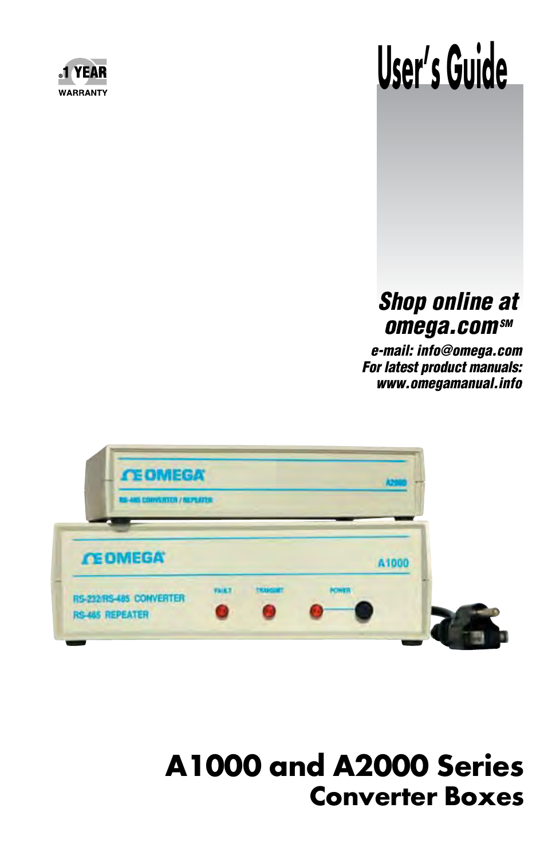

# **User's Guide**

## *Shop online at*  **omega.com**sM

*e-mail: info@omega.com For latest product manuals: www.omegamanual.info*



# **A1000 and A2000 Series Converter Boxes**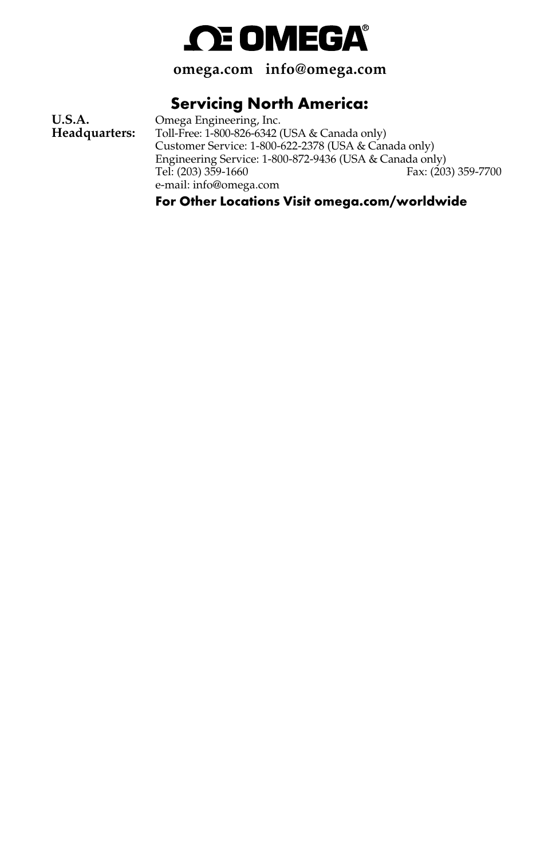

**omega.com info@omega.com**

### **Servicing North America:**

**U.S.A. C** Omega Engineering, Inc.<br>**Headquarters:** Toll-Free: 1-800-826-6342 ( Toll-Free: 1-800-826-6342 (USA & Canada only) Customer Service: 1-800-622-2378 (USA & Canada only) Engineering Service: 1-800-872-9436 (USA & Canada only) Fax: (203) 359-7700 e-mail: info@omega.com

**For Other Locations Visit omega.com/worldwide**